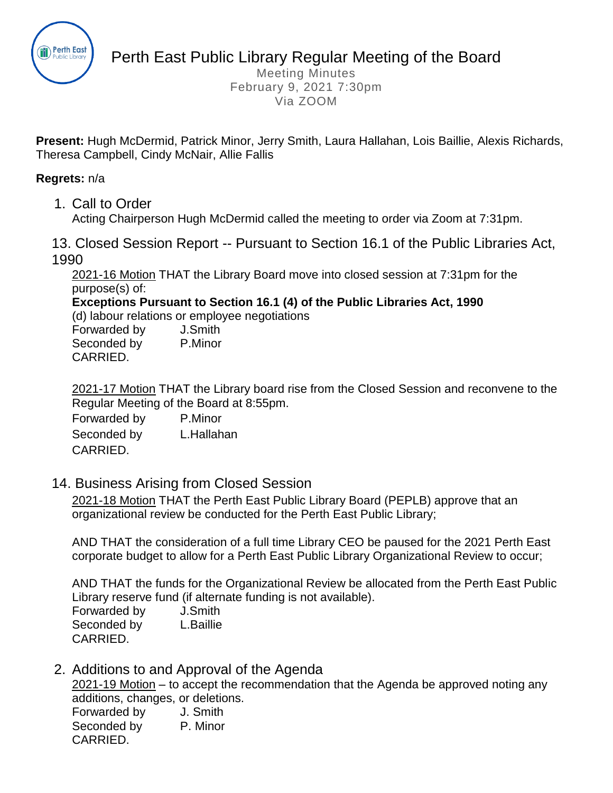

Perth East Public Library Regular Meeting of the Board

Meeting Minutes February 9, 2021 7:30pm Via ZOOM

**Present:** Hugh McDermid, Patrick Minor, Jerry Smith, Laura Hallahan, Lois Baillie, Alexis Richards, Theresa Campbell, Cindy McNair, Allie Fallis

#### **Regrets:** n/a

1. Call to Order

Acting Chairperson Hugh McDermid called the meeting to order via Zoom at 7:31pm.

13. Closed Session Report -- Pursuant to Section 16.1 of the Public Libraries Act, 1990

2021-16 Motion THAT the Library Board move into closed session at 7:31pm for the purpose(s) of:

**Exceptions Pursuant to Section 16.1 (4) of the Public Libraries Act, 1990**

(d) labour relations or employee negotiations

| Forwarded by | J.Smith |
|--------------|---------|
| Seconded by  | P.Minor |
| CARRIED.     |         |

2021-17 Motion THAT the Library board rise from the Closed Session and reconvene to the Regular Meeting of the Board at 8:55pm.

Forwarded by P.Minor Seconded by L.Hallahan CARRIED.

14. Business Arising from Closed Session

2021-18 Motion THAT the Perth East Public Library Board (PEPLB) approve that an organizational review be conducted for the Perth East Public Library;

AND THAT the consideration of a full time Library CEO be paused for the 2021 Perth East corporate budget to allow for a Perth East Public Library Organizational Review to occur;

AND THAT the funds for the Organizational Review be allocated from the Perth East Public Library reserve fund (if alternate funding is not available).

Forwarded by J.Smith Seconded by L.Baillie CARRIED.

2. Additions to and Approval of the Agenda

2021-19 Motion – to accept the recommendation that the Agenda be approved noting any additions, changes, or deletions.

| Forwarded by | J. Smith |
|--------------|----------|
| Seconded by  | P. Minor |
| CARRIED.     |          |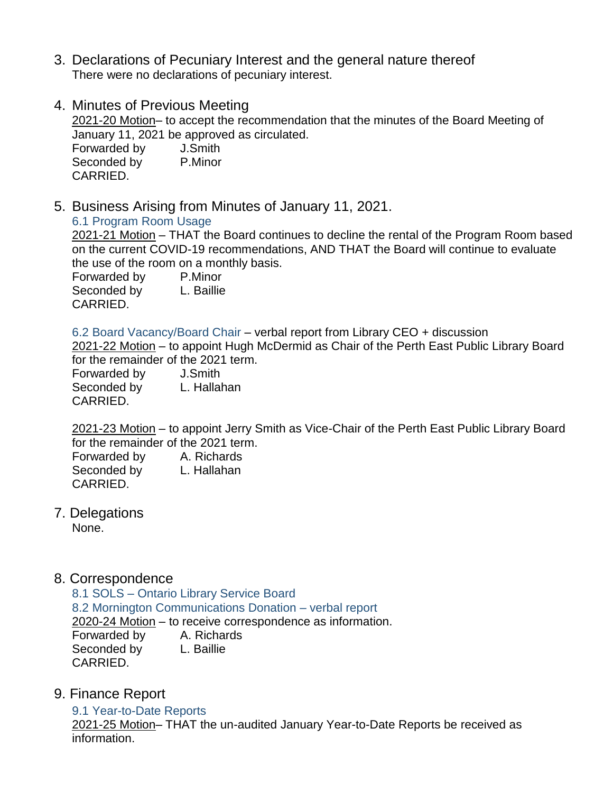- 3. Declarations of Pecuniary Interest and the general nature thereof There were no declarations of pecuniary interest.
- 4. Minutes of Previous Meeting 2021-20 Motion– to accept the recommendation that the minutes of the Board Meeting of January 11, 2021 be approved as circulated. Forwarded by J.Smith

Seconded by P.Minor CARRIED.

5. Business Arising from Minutes of January 11, 2021.

# 6.1 Program Room Usage

2021-21 Motion – THAT the Board continues to decline the rental of the Program Room based on the current COVID-19 recommendations, AND THAT the Board will continue to evaluate the use of the room on a monthly basis.

Forwarded by P.Minor Seconded by L. Baillie CARRIED.

6.2 Board Vacancy/Board Chair – verbal report from Library CEO + discussion

2021-22 Motion – to appoint Hugh McDermid as Chair of the Perth East Public Library Board for the remainder of the 2021 term.

Forwarded by J.Smith Seconded by L. Hallahan CARRIED.

2021-23 Motion – to appoint Jerry Smith as Vice-Chair of the Perth East Public Library Board for the remainder of the 2021 term.

Forwarded by A. Richards Seconded by L. Hallahan CARRIED.

7. Delegations

None.

8. Correspondence

8.1 SOLS – Ontario Library Service Board 8.2 Mornington Communications Donation – verbal report 2020-24 Motion – to receive correspondence as information. Forwarded by A. Richards Seconded by L. Baillie CARRIED.

9. Finance Report

9.1 Year-to-Date Reports 2021-25 Motion– THAT the un-audited January Year-to-Date Reports be received as information.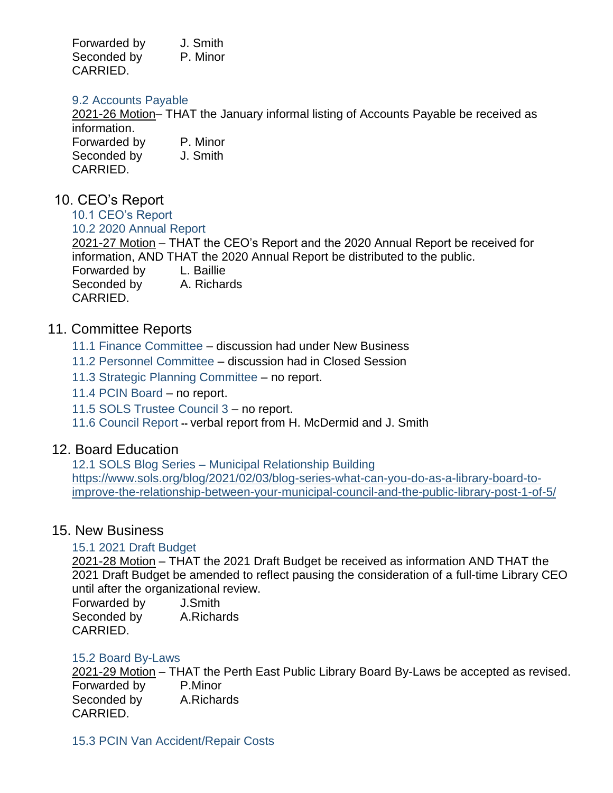| Forwarded by | J. Smith |
|--------------|----------|
| Seconded by  | P. Minor |
| CARRIED.     |          |

#### 9.2 Accounts Payable

2021-26 Motion– THAT the January informal listing of Accounts Payable be received as information. Forwarded by P. Minor Seconded by J. Smith CARRIED.

# 10. CEO's Report

10.1 CEO's Report 10.2 2020 Annual Report 2021-27 Motion – THAT the CEO's Report and the 2020 Annual Report be received for information, AND THAT the 2020 Annual Report be distributed to the public. Forwarded by L. Baillie Seconded by A. Richards CARRIED.

# 11. Committee Reports

- 11.1 Finance Committee discussion had under New Business
- 11.2 Personnel Committee discussion had in Closed Session
- 11.3 Strategic Planning Committee no report.
- 11.4 PCIN Board no report.
- 11.5 SOLS Trustee Council 3 no report.
- 11.6 Council Report **--** verbal report from H. McDermid and J. Smith

## 12. Board Education

12.1 SOLS Blog Series – Municipal Relationship Building [https://www.sols.org/blog/2021/02/03/blog-series-what-can-you-do-as-a-library-board-to](https://www.sols.org/blog/2021/02/03/blog-series-what-can-you-do-as-a-library-board-to-improve-the-relationship-between-your-municipal-council-and-the-public-library-post-1-of-5/)[improve-the-relationship-between-your-municipal-council-and-the-public-library-post-1-of-5/](https://www.sols.org/blog/2021/02/03/blog-series-what-can-you-do-as-a-library-board-to-improve-the-relationship-between-your-municipal-council-and-the-public-library-post-1-of-5/)

## 15. New Business

## 15.1 2021 Draft Budget

2021-28 Motion – THAT the 2021 Draft Budget be received as information AND THAT the 2021 Draft Budget be amended to reflect pausing the consideration of a full-time Library CEO until after the organizational review.

| Forwarded by | J.Smith    |
|--------------|------------|
| Seconded by  | A.Richards |
| CARRIED.     |            |

## 15.2 Board By-Laws

2021-29 Motion – THAT the Perth East Public Library Board By-Laws be accepted as revised. Forwarded by P.Minor Seconded by A.Richards CARRIED.

15.3 PCIN Van Accident/Repair Costs